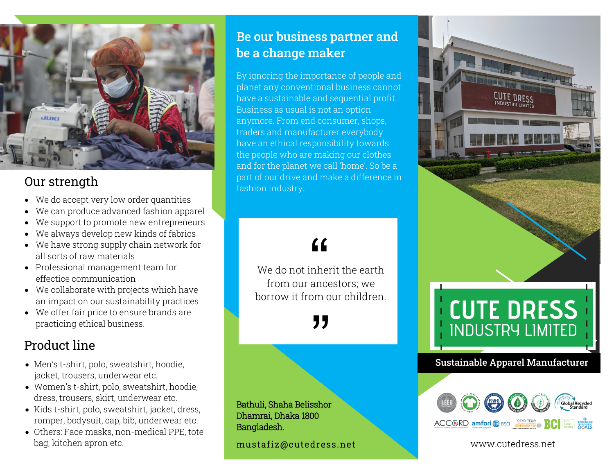

## Our strength

- We do accept very low order quantities
- We can produce advanced fashion apparel
- We support to promote new entrepreneurs
- We always develop new kinds of fabrics
- We have strong supply chain network for all sorts of raw materials
- Professional management team for effectice communication
- We collaborate with projects which have an impact on our sustainability practices
- We offer fair price to ensure brands are practicing ethical business.

## Product line

- Men's t-shirt, polo, sweatshirt, hoodie, jacket, trousers, underwear etc.
- Women's t-shirt, polo, sweatshirt, hoodie, dress, trousers, skirt, underwear etc.
- Kids t-shirt, polo, sweatshirt, jacket, dress, romper, bodysuit, cap, bib, underwear etc.
- Others: Face masks, non-medical PPE, tote bag, kitchen apron etc.

## Be our business partner and be a change maker

By ignoring the importance of people and planet any conventional business cannot have a sustainable and sequential profit. Business as usual is not an option anymore. From end consumer, shops, traders and manufacturer everybody have an ethical responsibility towards the people who are making our clothes and for the planet we call 'home'. So be a part of our drive and make a difference in fashion industry.

# $\epsilon$

We do not inherit the earth from our ancestors; we borrow it from our children.

"<br>"<br>"

Bathuli, Shaha Belisshor Dhamrai, Dhaka 1800 Bangladesh.

mustafiz@cutedress.net



#### $\overline{a}$ www.cutedress.net